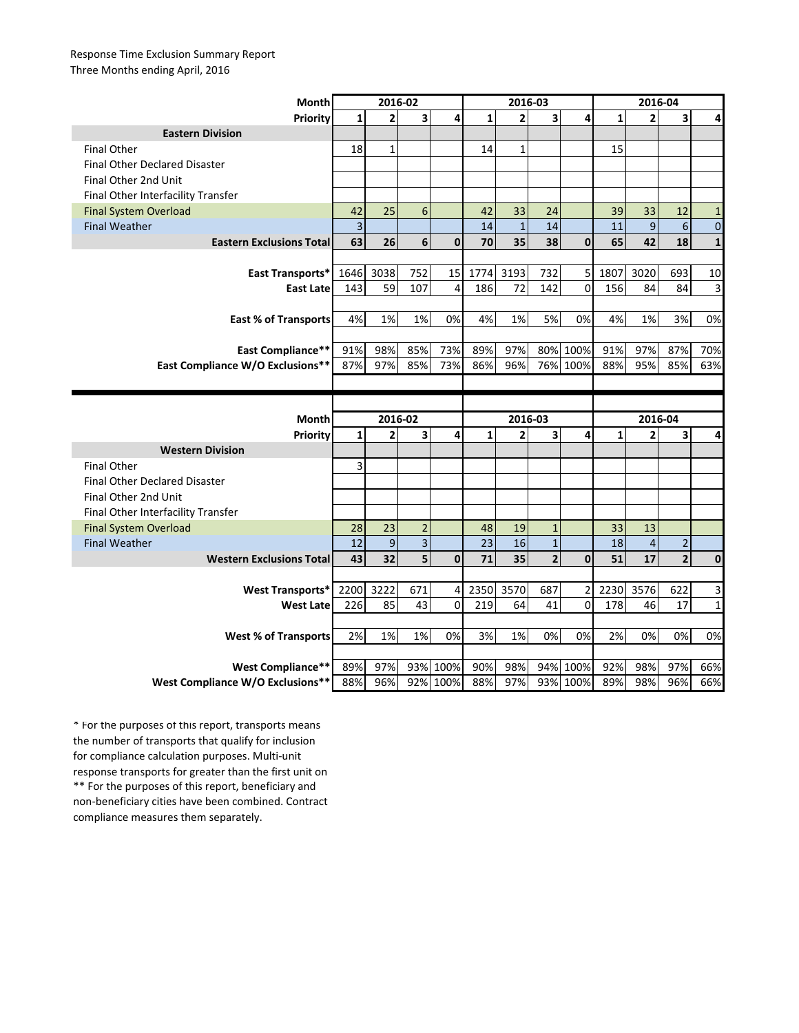## Response Time Exclusion Summary Report Three Months ending April, 2016

| Month                                                        | 2016-02      |                         |                         |                      | 2016-03      |                |                         |                      | 2016-04      |                |                |              |
|--------------------------------------------------------------|--------------|-------------------------|-------------------------|----------------------|--------------|----------------|-------------------------|----------------------|--------------|----------------|----------------|--------------|
| Priority                                                     | 1            | $\overline{\mathbf{2}}$ | $\overline{\mathbf{3}}$ | 4                    | $\mathbf{1}$ | $\overline{2}$ | $\overline{\mathbf{3}}$ | 4                    | $\mathbf{1}$ | $\overline{2}$ | 3              | 4            |
| <b>Eastern Division</b>                                      |              |                         |                         |                      |              |                |                         |                      |              |                |                |              |
| <b>Final Other</b>                                           | 18           | $\mathbf{1}$            |                         |                      | 14           | $\mathbf{1}$   |                         |                      | 15           |                |                |              |
| <b>Final Other Declared Disaster</b>                         |              |                         |                         |                      |              |                |                         |                      |              |                |                |              |
| Final Other 2nd Unit                                         |              |                         |                         |                      |              |                |                         |                      |              |                |                |              |
| Final Other Interfacility Transfer                           |              |                         |                         |                      |              |                |                         |                      |              |                |                |              |
| <b>Final System Overload</b>                                 | 42           | 25                      | 6                       |                      | 42           | 33             | 24                      |                      | 39           | 33             | 12             | $\mathbf{1}$ |
| <b>Final Weather</b>                                         | 3            |                         |                         |                      | 14           | $\mathbf{1}$   | 14                      |                      | 11           | 9              | 6              | $\mathbf{0}$ |
| <b>Eastern Exclusions Total</b>                              | 63           | 26                      | $\boldsymbol{6}$        | $\mathbf{0}$         | 70           | 35             | 38                      | $\mathbf{0}$         | 65           | 42             | 18             | $\mathbf{1}$ |
|                                                              |              |                         |                         |                      |              |                |                         |                      |              |                |                |              |
| East Transports*                                             | 1646         | 3038                    | 752                     | 15                   | 1774         | 3193           | 732                     | 5                    | 1807         | 3020           | 693            | 10           |
| <b>East Late</b>                                             | 143          | 59                      | 107                     | 4                    | 186          | 72             | 142                     | 0                    | 156          | 84             | 84             | 3            |
|                                                              |              |                         |                         |                      |              |                |                         |                      |              |                |                |              |
| <b>East % of Transports</b>                                  | 4%           | 1%                      | 1%                      | 0%                   | 4%           | 1%             | 5%                      | 0%                   | 4%           | 1%             | 3%             | 0%           |
|                                                              |              |                         |                         |                      |              |                |                         |                      |              |                |                |              |
| <b>East Compliance**</b>                                     | 91%          | 98%                     | 85%                     | 73%                  | 89%          | 97%            |                         | 80% 100%             | 91%          | 97%            | 87%            | 70%          |
| East Compliance W/O Exclusions**                             | 87%          | 97%                     | 85%                     | 73%                  | 86%          | 96%            |                         | 76% 100%             | 88%          | 95%            | 85%            | 63%          |
|                                                              |              |                         |                         |                      |              |                |                         |                      |              |                |                |              |
|                                                              |              |                         |                         |                      |              |                |                         |                      |              |                |                |              |
|                                                              |              |                         |                         |                      |              |                |                         |                      |              |                |                |              |
| Month                                                        |              | 2016-02                 |                         |                      |              | 2016-03        |                         |                      |              | 2016-04        |                |              |
| Priority                                                     | $\mathbf{1}$ | $\overline{2}$          | $\overline{\mathbf{3}}$ | 4                    | $\mathbf{1}$ | $\overline{2}$ | 3                       | 4                    | $\mathbf{1}$ | 2              | 3              | 4            |
| <b>Western Division</b>                                      |              |                         |                         |                      |              |                |                         |                      |              |                |                |              |
| <b>Final Other</b>                                           | 3            |                         |                         |                      |              |                |                         |                      |              |                |                |              |
| <b>Final Other Declared Disaster</b>                         |              |                         |                         |                      |              |                |                         |                      |              |                |                |              |
| Final Other 2nd Unit                                         |              |                         |                         |                      |              |                |                         |                      |              |                |                |              |
| Final Other Interfacility Transfer                           |              |                         |                         |                      |              |                |                         |                      |              |                |                |              |
| <b>Final System Overload</b>                                 | 28           | 23                      | $\overline{2}$          |                      | 48           | 19             | $\mathbf{1}$            |                      | 33           | 13             |                |              |
| <b>Final Weather</b>                                         | 12           | 9                       | $\overline{\mathbf{3}}$ |                      | 23           | 16             | $\mathbf{1}$            |                      | 18           | $\overline{4}$ | $\overline{2}$ |              |
| <b>Western Exclusions Total</b>                              | 43           | 32                      | 5                       | $\mathbf{0}$         | 71           | 35             | $\overline{2}$          | $\mathbf{0}$         | 51           | 17             | $\overline{2}$ | $\mathbf{0}$ |
|                                                              |              |                         |                         |                      |              |                |                         |                      |              |                |                |              |
| <b>West Transports*</b>                                      | 2200         | 3222                    | 671                     | 4                    | 2350         | 3570           | 687                     | $\overline{2}$       | 2230         | 3576           | 622            | 3            |
| <b>West Late</b>                                             | 226          | 85                      | 43                      | $\mathbf 0$          | 219          | 64             | 41                      | $\Omega$             | 178          | 46             | 17             | $\mathbf{1}$ |
|                                                              |              |                         |                         |                      |              |                |                         |                      |              |                |                |              |
| <b>West % of Transports</b>                                  | 2%           | 1%                      | 1%                      | 0%                   | 3%           | 1%             | 0%                      | 0%                   | 2%           | 0%             | 0%             | 0%           |
|                                                              |              |                         |                         |                      |              |                |                         |                      |              |                |                |              |
| <b>West Compliance**</b><br>West Compliance W/O Exclusions** | 89%          | 97%<br>96%              |                         | 93% 100%<br>92% 100% | 90%<br>88%   | 98%<br>97%     |                         | 94% 100%<br>93% 100% | 92%<br>89%   | 98%<br>98%     | 97%<br>96%     | 66%<br>66%   |

\*\* For the purposes of this report, beneficiary and non-beneficiary cities have been combined. Contract compliance measures them separately. \* For the purposes of this report, transports means the number of transports that qualify for inclusion for compliance calculation purposes. Multi-unit response transports for greater than the first unit on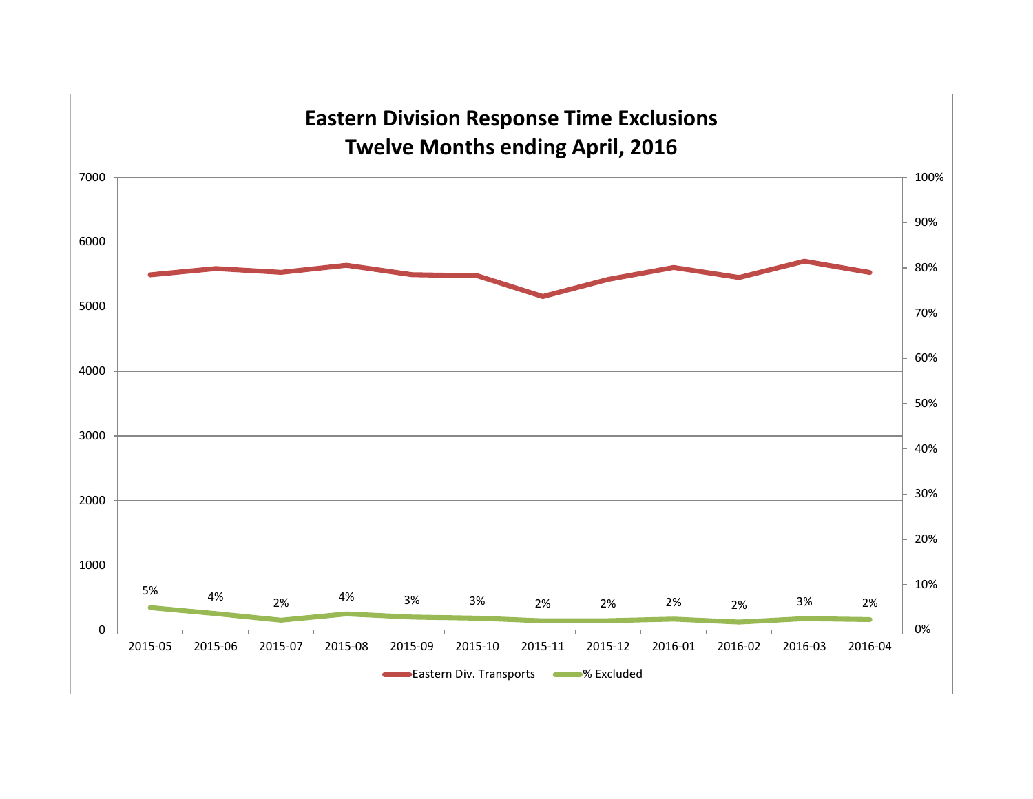